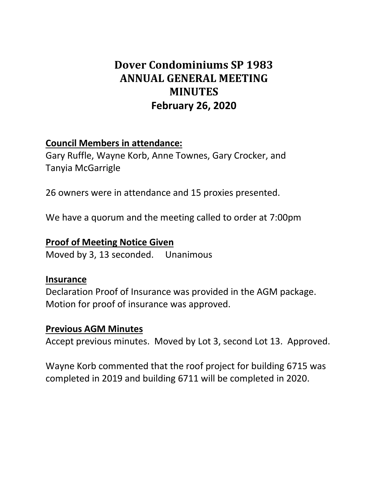# **Dover Condominiums SP 1983 ANNUAL GENERAL MEETING MINUTES February 26, 2020**

### **Council Members in attendance:**

Gary Ruffle, Wayne Korb, Anne Townes, Gary Crocker, and Tanyia McGarrigle

26 owners were in attendance and 15 proxies presented.

We have a quorum and the meeting called to order at 7:00pm

### **Proof of Meeting Notice Given**

Moved by 3, 13 seconded. Unanimous

#### **Insurance**

Declaration Proof of Insurance was provided in the AGM package. Motion for proof of insurance was approved.

#### **Previous AGM Minutes**

Accept previous minutes. Moved by Lot 3, second Lot 13. Approved.

Wayne Korb commented that the roof project for building 6715 was completed in 2019 and building 6711 will be completed in 2020.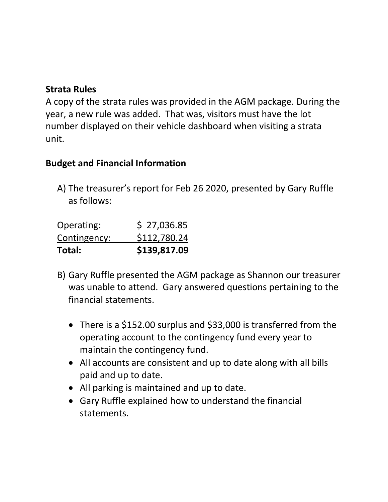## **Strata Rules**

A copy of the strata rules was provided in the AGM package. During the year, a new rule was added. That was, visitors must have the lot number displayed on their vehicle dashboard when visiting a strata unit.

## **Budget and Financial Information**

A) The treasurer's report for Feb 26 2020, presented by Gary Ruffle as follows:

| Total:       | \$139,817.09 |
|--------------|--------------|
| Contingency: | \$112,780.24 |
| Operating:   | \$27,036.85  |

- B) Gary Ruffle presented the AGM package as Shannon our treasurer was unable to attend. Gary answered questions pertaining to the financial statements.
	- There is a \$152.00 surplus and \$33,000 is transferred from the operating account to the contingency fund every year to maintain the contingency fund.
	- All accounts are consistent and up to date along with all bills paid and up to date.
	- All parking is maintained and up to date.
	- Gary Ruffle explained how to understand the financial statements.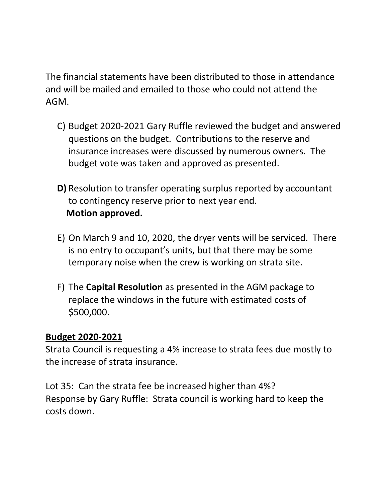The financial statements have been distributed to those in attendance and will be mailed and emailed to those who could not attend the AGM.

- C) Budget 2020-2021 Gary Ruffle reviewed the budget and answered questions on the budget. Contributions to the reserve and insurance increases were discussed by numerous owners. The budget vote was taken and approved as presented.
- **D)** Resolution to transfer operating surplus reported by accountant to contingency reserve prior to next year end. **Motion approved.**
- E) On March 9 and 10, 2020, the dryer vents will be serviced. There is no entry to occupant's units, but that there may be some temporary noise when the crew is working on strata site.
- F) The **Capital Resolution** as presented in the AGM package to replace the windows in the future with estimated costs of \$500,000.

### **Budget 2020-2021**

Strata Council is requesting a 4% increase to strata fees due mostly to the increase of strata insurance.

Lot 35: Can the strata fee be increased higher than 4%? Response by Gary Ruffle: Strata council is working hard to keep the costs down.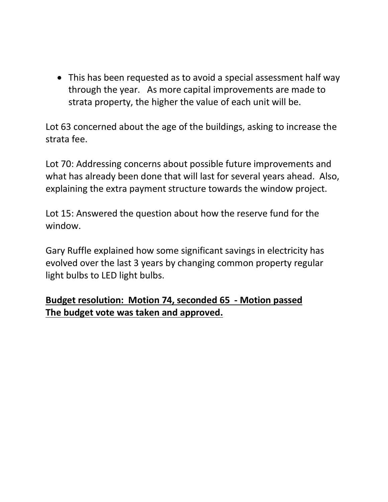• This has been requested as to avoid a special assessment half way through the year. As more capital improvements are made to strata property, the higher the value of each unit will be.

Lot 63 concerned about the age of the buildings, asking to increase the strata fee.

Lot 70: Addressing concerns about possible future improvements and what has already been done that will last for several years ahead. Also, explaining the extra payment structure towards the window project.

Lot 15: Answered the question about how the reserve fund for the window.

Gary Ruffle explained how some significant savings in electricity has evolved over the last 3 years by changing common property regular light bulbs to LED light bulbs.

## **Budget resolution: Motion 74, seconded 65 - Motion passed The budget vote was taken and approved.**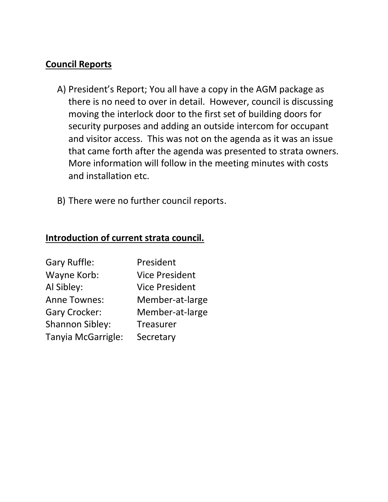### **Council Reports**

- A) President's Report; You all have a copy in the AGM package as there is no need to over in detail. However, council is discussing moving the interlock door to the first set of building doors for security purposes and adding an outside intercom for occupant and visitor access. This was not on the agenda as it was an issue that came forth after the agenda was presented to strata owners. More information will follow in the meeting minutes with costs and installation etc.
- B) There were no further council reports.

### **Introduction of current strata council.**

| <b>Gary Ruffle:</b>    | President             |
|------------------------|-----------------------|
| Wayne Korb:            | <b>Vice President</b> |
| Al Sibley:             | <b>Vice President</b> |
| <b>Anne Townes:</b>    | Member-at-large       |
| <b>Gary Crocker:</b>   | Member-at-large       |
| <b>Shannon Sibley:</b> | <b>Treasurer</b>      |
| Tanyia McGarrigle:     | Secretary             |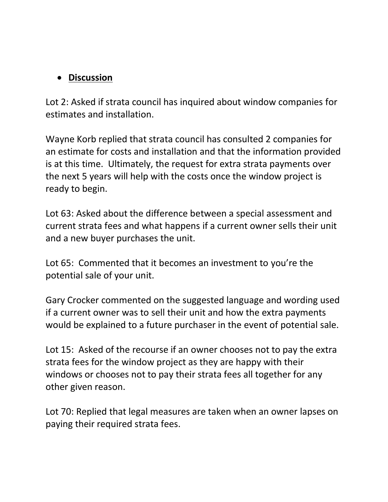## • **Discussion**

Lot 2: Asked if strata council has inquired about window companies for estimates and installation.

Wayne Korb replied that strata council has consulted 2 companies for an estimate for costs and installation and that the information provided is at this time. Ultimately, the request for extra strata payments over the next 5 years will help with the costs once the window project is ready to begin.

Lot 63: Asked about the difference between a special assessment and current strata fees and what happens if a current owner sells their unit and a new buyer purchases the unit.

Lot 65: Commented that it becomes an investment to you're the potential sale of your unit.

Gary Crocker commented on the suggested language and wording used if a current owner was to sell their unit and how the extra payments would be explained to a future purchaser in the event of potential sale.

Lot 15: Asked of the recourse if an owner chooses not to pay the extra strata fees for the window project as they are happy with their windows or chooses not to pay their strata fees all together for any other given reason.

Lot 70: Replied that legal measures are taken when an owner lapses on paying their required strata fees.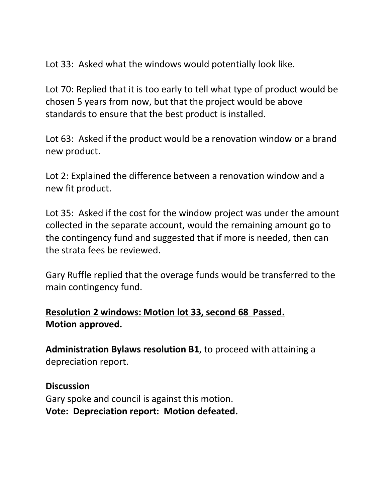Lot 33: Asked what the windows would potentially look like.

Lot 70: Replied that it is too early to tell what type of product would be chosen 5 years from now, but that the project would be above standards to ensure that the best product is installed.

Lot 63: Asked if the product would be a renovation window or a brand new product.

Lot 2: Explained the difference between a renovation window and a new fit product.

Lot 35: Asked if the cost for the window project was under the amount collected in the separate account, would the remaining amount go to the contingency fund and suggested that if more is needed, then can the strata fees be reviewed.

Gary Ruffle replied that the overage funds would be transferred to the main contingency fund.

## **Resolution 2 windows: Motion lot 33, second 68 Passed. Motion approved.**

**Administration Bylaws resolution B1**, to proceed with attaining a depreciation report.

**Discussion** Gary spoke and council is against this motion. **Vote: Depreciation report: Motion defeated.**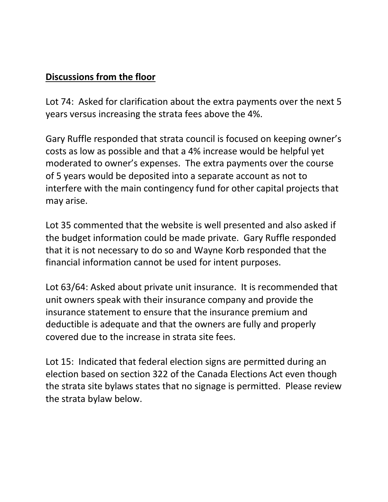## **Discussions from the floor**

Lot 74: Asked for clarification about the extra payments over the next 5 years versus increasing the strata fees above the 4%.

Gary Ruffle responded that strata council is focused on keeping owner's costs as low as possible and that a 4% increase would be helpful yet moderated to owner's expenses. The extra payments over the course of 5 years would be deposited into a separate account as not to interfere with the main contingency fund for other capital projects that may arise.

Lot 35 commented that the website is well presented and also asked if the budget information could be made private. Gary Ruffle responded that it is not necessary to do so and Wayne Korb responded that the financial information cannot be used for intent purposes.

Lot 63/64: Asked about private unit insurance. It is recommended that unit owners speak with their insurance company and provide the insurance statement to ensure that the insurance premium and deductible is adequate and that the owners are fully and properly covered due to the increase in strata site fees.

Lot 15: Indicated that federal election signs are permitted during an election based on section 322 of the Canada Elections Act even though the strata site bylaws states that no signage is permitted. Please review the strata bylaw below.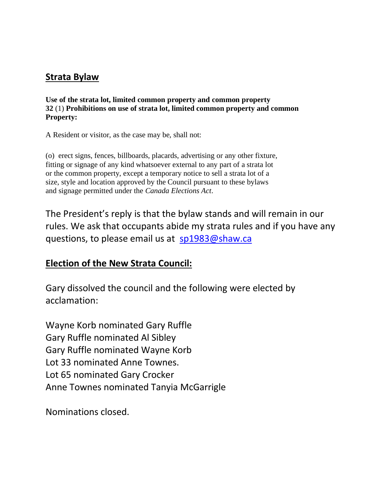### **Strata Bylaw**

**Use of the strata lot, limited common property and common property 32** (1) **Prohibitions on use of strata lot, limited common property and common Property:**

A Resident or visitor, as the case may be, shall not:

(o) erect signs, fences, billboards, placards, advertising or any other fixture, fitting or signage of any kind whatsoever external to any part of a strata lot or the common property, except a temporary notice to sell a strata lot of a size, style and location approved by the Council pursuant to these bylaws and signage permitted under the *Canada Elections Act*.

The President's reply is that the bylaw stands and will remain in our rules. We ask that occupants abide my strata rules and if you have any questions, to please email us at [sp1983@shaw.ca](mailto:sp1983@shaw.ca)

### **Election of the New Strata Council:**

Gary dissolved the council and the following were elected by acclamation:

Wayne Korb nominated Gary Ruffle Gary Ruffle nominated Al Sibley Gary Ruffle nominated Wayne Korb Lot 33 nominated Anne Townes. Lot 65 nominated Gary Crocker Anne Townes nominated Tanyia McGarrigle

Nominations closed.